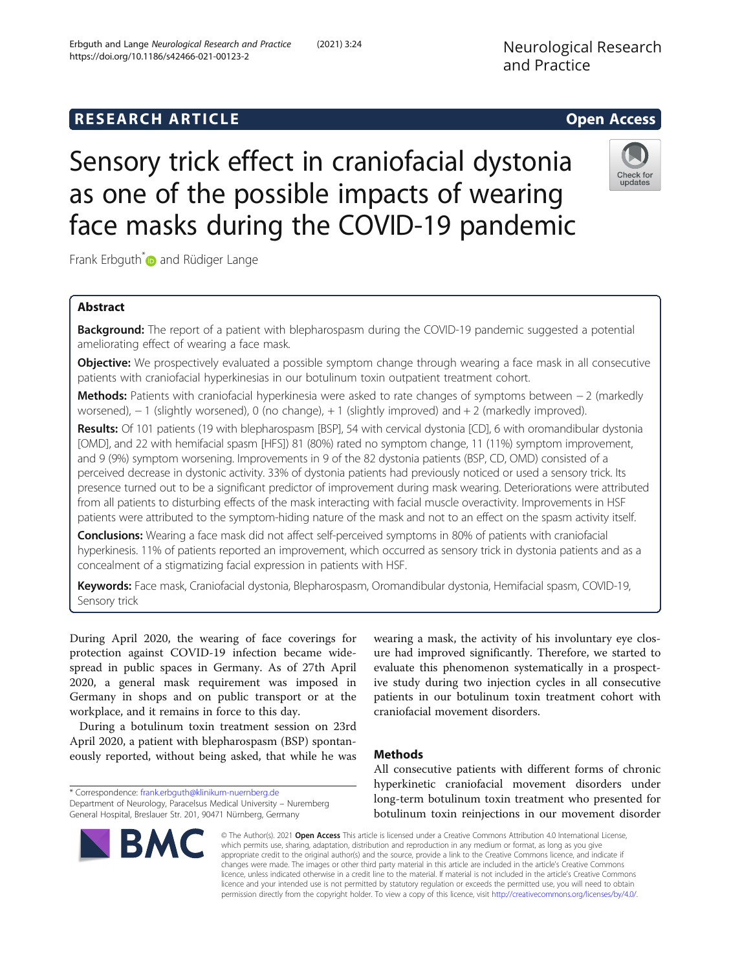## **RESEARCH ARTICLE Example 2014 CONSIDERING CONSIDERING CONSIDERING CONSIDERING CONSIDERING CONSIDERING CONSIDERING CONSIDERING CONSIDERING CONSIDERING CONSIDERING CONSIDERING CONSIDERING CONSIDERING CONSIDERING CONSIDE**

# Sensory trick effect in craniofacial dystonia as one of the possible impacts of wearing face masks during the COVID-19 pandemic

Frank Erbguth<sup>\*</sup> and Rüdiger Lange

## Abstract

**Background:** The report of a patient with blepharospasm during the COVID-19 pandemic suggested a potential ameliorating effect of wearing a face mask.

**Objective:** We prospectively evaluated a possible symptom change through wearing a face mask in all consecutive patients with craniofacial hyperkinesias in our botulinum toxin outpatient treatment cohort.

Methods: Patients with craniofacial hyperkinesia were asked to rate changes of symptoms between − 2 (markedly worsened), − 1 (slightly worsened), 0 (no change), + 1 (slightly improved) and + 2 (markedly improved).

Results: Of 101 patients (19 with blepharospasm [BSP], 54 with cervical dystonia [CD], 6 with oromandibular dystonia [OMD], and 22 with hemifacial spasm [HFS]) 81 (80%) rated no symptom change, 11 (11%) symptom improvement, and 9 (9%) symptom worsening. Improvements in 9 of the 82 dystonia patients (BSP, CD, OMD) consisted of a perceived decrease in dystonic activity. 33% of dystonia patients had previously noticed or used a sensory trick. Its presence turned out to be a significant predictor of improvement during mask wearing. Deteriorations were attributed from all patients to disturbing effects of the mask interacting with facial muscle overactivity. Improvements in HSF patients were attributed to the symptom-hiding nature of the mask and not to an effect on the spasm activity itself.

Conclusions: Wearing a face mask did not affect self-perceived symptoms in 80% of patients with craniofacial hyperkinesis. 11% of patients reported an improvement, which occurred as sensory trick in dystonia patients and as a concealment of a stigmatizing facial expression in patients with HSF.

Keywords: Face mask, Craniofacial dystonia, Blepharospasm, Oromandibular dystonia, Hemifacial spasm, COVID-19, Sensory trick

During April 2020, the wearing of face coverings for protection against COVID-19 infection became widespread in public spaces in Germany. As of 27th April 2020, a general mask requirement was imposed in Germany in shops and on public transport or at the workplace, and it remains in force to this day.

During a botulinum toxin treatment session on 23rd April 2020, a patient with blepharospasm (BSP) spontaneously reported, without being asked, that while he was

\* Correspondence: [frank.erbguth@klinikum-nuernberg.de](mailto:frank.erbguth@klinikum-nuernberg.de)

Department of Neurology, Paracelsus Medical University – Nuremberg General Hospital, Breslauer Str. 201, 90471 Nürnberg, Germany

wearing a mask, the activity of his involuntary eye closure had improved significantly. Therefore, we started to evaluate this phenomenon systematically in a prospective study during two injection cycles in all consecutive patients in our botulinum toxin treatment cohort with craniofacial movement disorders.

## Methods

licence and your intended use is not permitted by statutory regulation or exceeds the permitted use, you will need to obtain permission directly from the copyright holder. To view a copy of this licence, visit [http://creativecommons.org/licenses/by/4.0/.](http://creativecommons.org/licenses/by/4.0/)

All consecutive patients with different forms of chronic hyperkinetic craniofacial movement disorders under long-term botulinum toxin treatment who presented for botulinum toxin reinjections in our movement disorder





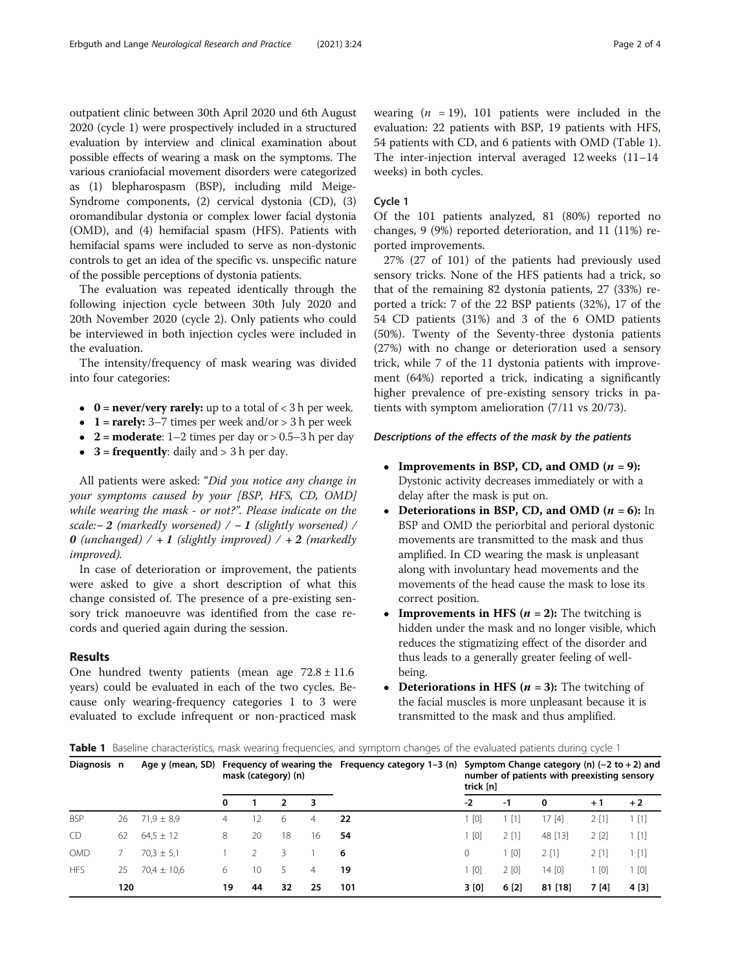<span id="page-1-0"></span>outpatient clinic between 30th April 2020 und 6th August 2020 (cycle 1) were prospectively included in a structured evaluation by interview and clinical examination about possible effects of wearing a mask on the symptoms. The various craniofacial movement disorders were categorized as (1) blepharospasm (BSP), including mild Meige-Syndrome components, (2) cervical dystonia (CD), (3) oromandibular dystonia or complex lower facial dystonia (OMD), and (4) hemifacial spasm (HFS). Patients with hemifacial spams were included to serve as non-dystonic controls to get an idea of the specific vs. unspecific nature of the possible perceptions of dystonia patients.

The evaluation was repeated identically through the following injection cycle between 30th July 2020 and 20th November 2020 (cycle 2). Only patients who could be interviewed in both injection cycles were included in the evaluation.

The intensity/frequency of mask wearing was divided into four categories:

- $\bullet$  **0** = **never/very rarely:** up to a total of < 3 h per week.
- 1 = rarely:  $3-7$  times per week and/or > 3 h per week
- $2 = \text{moderate: } 1 2 \text{ times per day or } > 0.5 3 \text{ h per day}$
- $3 =$  frequently: daily and  $> 3$  h per day.

All patients were asked: "Did you notice any change in your symptoms caused by your [BSP, HFS, CD, OMD] while wearing the mask - or not?". Please indicate on the scale:−2 (markedly worsened)  $/ - 1$  (slightly worsened) / **0** (unchanged) / + 1 (slightly improved) / + 2 (markedly improved).

In case of deterioration or improvement, the patients were asked to give a short description of what this change consisted of. The presence of a pre-existing sensory trick manoeuvre was identified from the case records and queried again during the session.

## Results

One hundred twenty patients (mean age  $72.8 \pm 11.6$ ) years) could be evaluated in each of the two cycles. Because only wearing-frequency categories 1 to 3 were evaluated to exclude infrequent or non-practiced mask wearing  $(n = 19)$ , 101 patients were included in the evaluation: 22 patients with BSP, 19 patients with HFS, 54 patients with CD, and 6 patients with OMD (Table 1). The inter-injection interval averaged 12 weeks (11–14 weeks) in both cycles.

## Cycle 1

Of the 101 patients analyzed, 81 (80%) reported no changes, 9 (9%) reported deterioration, and 11 (11%) reported improvements.

27% (27 of 101) of the patients had previously used sensory tricks. None of the HFS patients had a trick, so that of the remaining 82 dystonia patients, 27 (33%) reported a trick: 7 of the 22 BSP patients (32%), 17 of the 54 CD patients (31%) and 3 of the 6 OMD patients (50%). Twenty of the Seventy-three dystonia patients (27%) with no change or deterioration used a sensory trick, while 7 of the 11 dystonia patients with improvement (64%) reported a trick, indicating a significantly higher prevalence of pre-existing sensory tricks in patients with symptom amelioration (7/11 vs 20/73).

## Descriptions of the effects of the mask by the patients

- Improvements in BSP, CD, and OMD  $(n = 9)$ : Dystonic activity decreases immediately or with a delay after the mask is put on.
- Deteriorations in BSP, CD, and OMD  $(n = 6)$ : In BSP and OMD the periorbital and perioral dystonic movements are transmitted to the mask and thus amplified. In CD wearing the mask is unpleasant along with involuntary head movements and the movements of the head cause the mask to lose its correct position.
- **Improvements in HFS (** $n = 2$ **):** The twitching is hidden under the mask and no longer visible, which reduces the stigmatizing effect of the disorder and thus leads to a generally greater feeling of wellbeing.
- Deteriorations in HFS  $(n = 3)$ : The twitching of the facial muscles is more unpleasant because it is transmitted to the mask and thus amplified.

Table 1 Baseline characteristics, mask wearing frequencies, and symptom changes of the evaluated patients during cycle 1

| Diagnosis n |     |                 | mask (category) (n) |    |    |    | Age y (mean, SD) Frequency of wearing the Frequency category $1-3$ (n) | Symptom Change category (n) $(-2 \text{ to } +2)$ and<br>number of patients with preexisting sensory<br>trick [n] |       |         |         |                   |
|-------------|-----|-----------------|---------------------|----|----|----|------------------------------------------------------------------------|-------------------------------------------------------------------------------------------------------------------|-------|---------|---------|-------------------|
|             |     |                 | 0                   |    | 2  | 3  |                                                                        | $-2$                                                                                                              | -1    | 0       | $+1$    | $+2$              |
| <b>BSP</b>  | 26  | $71.9 \pm 8.9$  | 4                   | 12 | 6  | 4  | 22                                                                     | [0]                                                                                                               | 1 [1] | 17 [4]  | 2 [1]   | $\lceil 1 \rceil$ |
| CD          | 62  | $64.5 \pm 12$   | 8                   | 20 | 18 | 16 | 54                                                                     | 1 [0]                                                                                                             | 2[1]  | 48 [13] | 2[2]    | 1[1]              |
| <b>OMD</b>  |     | $70.3 \pm 5.1$  |                     |    | 3  |    | 6                                                                      | 0                                                                                                                 | 1 [0] | 2[1]    | $2$ [1] | [1]               |
| <b>HFS</b>  | 25  | $70.4 \pm 10.6$ | 6                   | 10 | 5  | 4  | 19                                                                     | 1 [0]                                                                                                             | 2[0]  | 14 [0]  | l [0]   | [0]               |
|             | 120 |                 | 19                  | 44 | 32 | 25 | 101                                                                    | 3[0]                                                                                                              | 6[2]  | 81 [18] | 7 [4]   | 4 [3]             |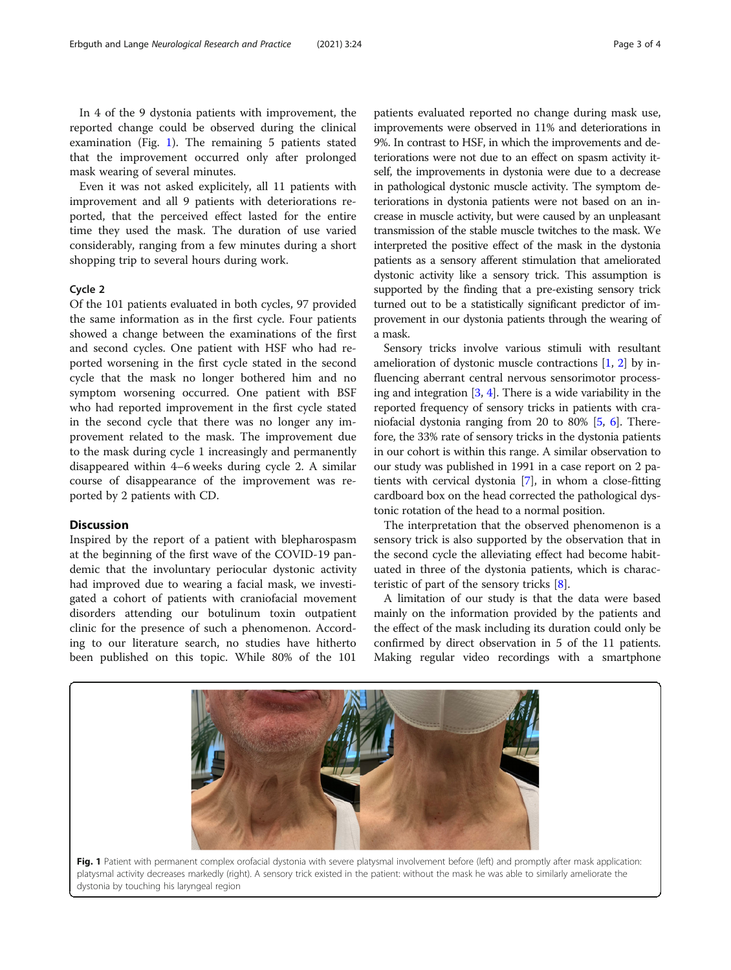In 4 of the 9 dystonia patients with improvement, the reported change could be observed during the clinical examination (Fig. 1). The remaining 5 patients stated that the improvement occurred only after prolonged mask wearing of several minutes.

Even it was not asked explicitely, all 11 patients with improvement and all 9 patients with deteriorations reported, that the perceived effect lasted for the entire time they used the mask. The duration of use varied considerably, ranging from a few minutes during a short shopping trip to several hours during work.

#### Cycle 2

Of the 101 patients evaluated in both cycles, 97 provided the same information as in the first cycle. Four patients showed a change between the examinations of the first and second cycles. One patient with HSF who had reported worsening in the first cycle stated in the second cycle that the mask no longer bothered him and no symptom worsening occurred. One patient with BSF who had reported improvement in the first cycle stated in the second cycle that there was no longer any improvement related to the mask. The improvement due to the mask during cycle 1 increasingly and permanently disappeared within 4–6 weeks during cycle 2. A similar course of disappearance of the improvement was reported by 2 patients with CD.

## Discussion

Inspired by the report of a patient with blepharospasm at the beginning of the first wave of the COVID-19 pandemic that the involuntary periocular dystonic activity had improved due to wearing a facial mask, we investigated a cohort of patients with craniofacial movement disorders attending our botulinum toxin outpatient clinic for the presence of such a phenomenon. According to our literature search, no studies have hitherto been published on this topic. While 80% of the 101

patients evaluated reported no change during mask use, improvements were observed in 11% and deteriorations in 9%. In contrast to HSF, in which the improvements and deteriorations were not due to an effect on spasm activity itself, the improvements in dystonia were due to a decrease in pathological dystonic muscle activity. The symptom deteriorations in dystonia patients were not based on an increase in muscle activity, but were caused by an unpleasant transmission of the stable muscle twitches to the mask. We interpreted the positive effect of the mask in the dystonia patients as a sensory afferent stimulation that ameliorated dystonic activity like a sensory trick. This assumption is supported by the finding that a pre-existing sensory trick turned out to be a statistically significant predictor of improvement in our dystonia patients through the wearing of a mask.

Sensory tricks involve various stimuli with resultant amelioration of dystonic muscle contractions [\[1](#page-3-0), [2](#page-3-0)] by influencing aberrant central nervous sensorimotor processing and integration  $[3, 4]$  $[3, 4]$  $[3, 4]$  $[3, 4]$ . There is a wide variability in the reported frequency of sensory tricks in patients with craniofacial dystonia ranging from 20 to 80% [\[5](#page-3-0), [6](#page-3-0)]. Therefore, the 33% rate of sensory tricks in the dystonia patients in our cohort is within this range. A similar observation to our study was published in 1991 in a case report on 2 patients with cervical dystonia [[7](#page-3-0)], in whom a close-fitting cardboard box on the head corrected the pathological dystonic rotation of the head to a normal position.

The interpretation that the observed phenomenon is a sensory trick is also supported by the observation that in the second cycle the alleviating effect had become habituated in three of the dystonia patients, which is characteristic of part of the sensory tricks [[8](#page-3-0)].

A limitation of our study is that the data were based mainly on the information provided by the patients and the effect of the mask including its duration could only be confirmed by direct observation in 5 of the 11 patients. Making regular video recordings with a smartphone